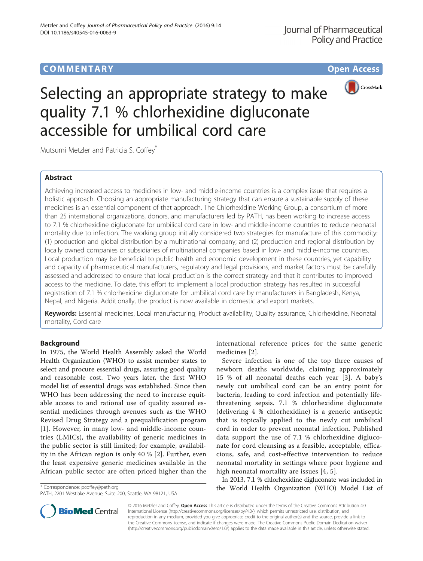# **COMMENTARY COMMENTARY Open Access**



# Selecting an appropriate strategy to make quality 7.1 % chlorhexidine digluconate accessible for umbilical cord care

Mutsumi Metzler and Patricia S. Coffey\*

# Abstract

Achieving increased access to medicines in low- and middle-income countries is a complex issue that requires a holistic approach. Choosing an appropriate manufacturing strategy that can ensure a sustainable supply of these medicines is an essential component of that approach. The Chlorhexidine Working Group, a consortium of more than 25 international organizations, donors, and manufacturers led by PATH, has been working to increase access to 7.1 % chlorhexidine digluconate for umbilical cord care in low- and middle-income countries to reduce neonatal mortality due to infection. The working group initially considered two strategies for manufacture of this commodity: (1) production and global distribution by a multinational company; and (2) production and regional distribution by locally owned companies or subsidiaries of multinational companies based in low- and middle-income countries. Local production may be beneficial to public health and economic development in these countries, yet capability and capacity of pharmaceutical manufacturers, regulatory and legal provisions, and market factors must be carefully assessed and addressed to ensure that local production is the correct strategy and that it contributes to improved access to the medicine. To date, this effort to implement a local production strategy has resulted in successful registration of 7.1 % chlorhexidine digluconate for umbilical cord care by manufacturers in Bangladesh, Kenya, Nepal, and Nigeria. Additionally, the product is now available in domestic and export markets.

Keywords: Essential medicines, Local manufacturing, Product availability, Quality assurance, Chlorhexidine, Neonatal mortality, Cord care

# Background

In 1975, the World Health Assembly asked the World Health Organization (WHO) to assist member states to select and procure essential drugs, assuring good quality and reasonable cost. Two years later, the first WHO model list of essential drugs was established. Since then WHO has been addressing the need to increase equitable access to and rational use of quality assured essential medicines through avenues such as the WHO Revised Drug Strategy and a prequalification program [[1](#page-2-0)]. However, in many low- and middle-income countries (LMICs), the availability of generic medicines in the public sector is still limited; for example, availability in the African region is only 40 % [[2\]](#page-2-0). Further, even the least expensive generic medicines available in the African public sector are often priced higher than the

PATH, 2201 Westlake Avenue, Suite 200, Seattle, WA 98121, USA

international reference prices for the same generic medicines [[2\]](#page-2-0).

Severe infection is one of the top three causes of newborn deaths worldwide, claiming approximately 15 % of all neonatal deaths each year [\[3](#page-2-0)]. A baby's newly cut umbilical cord can be an entry point for bacteria, leading to cord infection and potentially lifethreatening sepsis. 7.1 % chlorhexidine digluconate (delivering 4 % chlorhexidine) is a generic antiseptic that is topically applied to the newly cut umbilical cord in order to prevent neonatal infection. Published data support the use of 7.1 % chlorhexidine digluconate for cord cleansing as a feasible, acceptable, efficacious, safe, and cost-effective intervention to reduce neonatal mortality in settings where poor hygiene and high neonatal mortality are issues [[4, 5](#page-2-0)].

In 2013, 7.1 % chlorhexidine digluconate was included in the World Health Organization (WHO) Model List of \* Correspondence: [pcoffey@path.org](mailto:pcoffey@path.org)



© 2016 Metzler and Coffey. Open Access This article is distributed under the terms of the Creative Commons Attribution 4.0 International License [\(http://creativecommons.org/licenses/by/4.0/](http://creativecommons.org/licenses/by/4.0/)), which permits unrestricted use, distribution, and reproduction in any medium, provided you give appropriate credit to the original author(s) and the source, provide a link to the Creative Commons license, and indicate if changes were made. The Creative Commons Public Domain Dedication waiver [\(http://creativecommons.org/publicdomain/zero/1.0/](http://creativecommons.org/publicdomain/zero/1.0/)) applies to the data made available in this article, unless otherwise stated.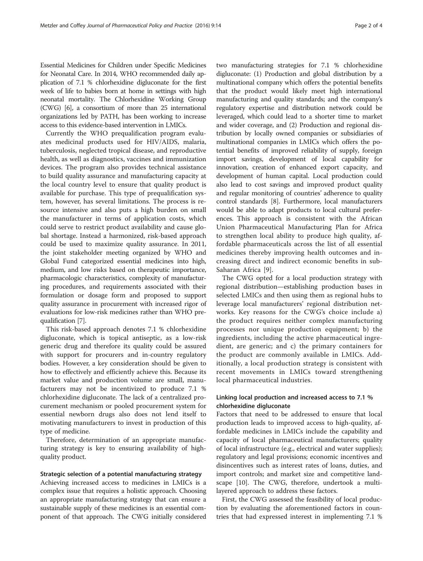Essential Medicines for Children under Specific Medicines for Neonatal Care. In 2014, WHO recommended daily application of 7.1 % chlorhexidine digluconate for the first week of life to babies born at home in settings with high neonatal mortality. The Chlorhexidine Working Group (CWG) [[6](#page-3-0)], a consortium of more than 25 international organizations led by PATH, has been working to increase access to this evidence-based intervention in LMICs.

Currently the WHO prequalification program evaluates medicinal products used for HIV/AIDS, malaria, tuberculosis, neglected tropical disease, and reproductive health, as well as diagnostics, vaccines and immunization devices. The program also provides technical assistance to build quality assurance and manufacturing capacity at the local country level to ensure that quality product is available for purchase. This type of prequalification system, however, has several limitations. The process is resource intensive and also puts a high burden on small the manufacturer in terms of application costs, which could serve to restrict product availability and cause global shortage. Instead a harmonized, risk-based approach could be used to maximize quality assurance. In 2011, the joint stakeholder meeting organized by WHO and Global Fund categorized essential medicines into high, medium, and low risks based on therapeutic importance, pharmacologic characteristics, complexity of manufacturing procedures, and requirements associated with their formulation or dosage form and proposed to support quality assurance in procurement with increased rigor of evaluations for low-risk medicines rather than WHO prequalification [[7\]](#page-3-0).

This risk-based approach denotes 7.1 % chlorhexidine digluconate, which is topical antiseptic, as a low-risk generic drug and therefore its quality could be assured with support for procurers and in-country regulatory bodies. However, a key consideration should be given to how to effectively and efficiently achieve this. Because its market value and production volume are small, manufacturers may not be incentivized to produce 7.1 % chlorhexidine digluconate. The lack of a centralized procurement mechanism or pooled procurement system for essential newborn drugs also does not lend itself to motivating manufacturers to invest in production of this type of medicine.

Therefore, determination of an appropriate manufacturing strategy is key to ensuring availability of highquality product.

## Strategic selection of a potential manufacturing strategy

Achieving increased access to medicines in LMICs is a complex issue that requires a holistic approach. Choosing an appropriate manufacturing strategy that can ensure a sustainable supply of these medicines is an essential component of that approach. The CWG initially considered two manufacturing strategies for 7.1 % chlorhexidine digluconate: (1) Production and global distribution by a multinational company which offers the potential benefits that the product would likely meet high international manufacturing and quality standards; and the company's regulatory expertise and distribution network could be leveraged, which could lead to a shorter time to market and wider coverage, and (2) Production and regional distribution by locally owned companies or subsidiaries of multinational companies in LMICs which offers the potential benefits of improved reliability of supply, foreign import savings, development of local capability for innovation, creation of enhanced export capacity, and development of human capital. Local production could also lead to cost savings and improved product quality and regular monitoring of countries' adherence to quality control standards [[8](#page-3-0)]. Furthermore, local manufacturers would be able to adapt products to local cultural preferences. This approach is consistent with the African Union Pharmaceutical Manufacturing Plan for Africa to strengthen local ability to produce high quality, affordable pharmaceuticals across the list of all essential medicines thereby improving health outcomes and increasing direct and indirect economic benefits in sub-Saharan Africa [\[9](#page-3-0)].

The CWG opted for a local production strategy with regional distribution—establishing production bases in selected LMICs and then using them as regional hubs to leverage local manufacturers' regional distribution networks. Key reasons for the CWG's choice include a) the product requires neither complex manufacturing processes nor unique production equipment; b) the ingredients, including the active pharmaceutical ingredient, are generic; and c) the primary containers for the product are commonly available in LMICs. Additionally, a local production strategy is consistent with recent movements in LMICs toward strengthening local pharmaceutical industries.

## Linking local production and increased access to 7.1 % chlorhexidine digluconate

Factors that need to be addressed to ensure that local production leads to improved access to high-quality, affordable medicines in LMICs include the capability and capacity of local pharmaceutical manufacturers; quality of local infrastructure (e.g., electrical and water supplies); regulatory and legal provisions; economic incentives and disincentives such as interest rates of loans, duties, and import controls; and market size and competitive landscape [[10\]](#page-3-0). The CWG, therefore, undertook a multilayered approach to address these factors.

First, the CWG assessed the feasibility of local production by evaluating the aforementioned factors in countries that had expressed interest in implementing 7.1 %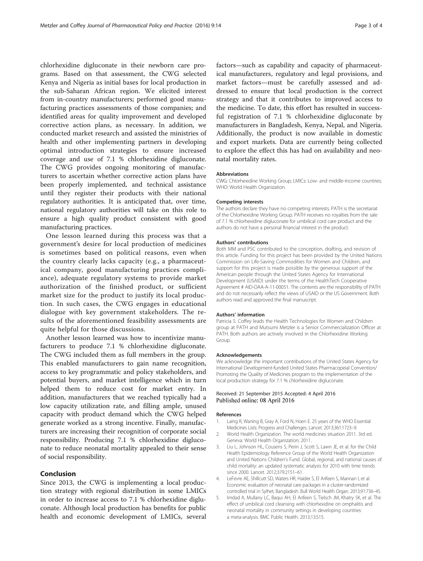<span id="page-2-0"></span>chlorhexidine digluconate in their newborn care programs. Based on that assessment, the CWG selected Kenya and Nigeria as initial bases for local production in the sub-Saharan African region. We elicited interest from in-country manufacturers; performed good manufacturing practices assessments of those companies; and identified areas for quality improvement and developed corrective action plans, as necessary. In addition, we conducted market research and assisted the ministries of health and other implementing partners in developing optimal introduction strategies to ensure increased coverage and use of 7.1 % chlorhexidine digluconate. The CWG provides ongoing monitoring of manufacturers to ascertain whether corrective action plans have been properly implemented, and technical assistance until they register their products with their national regulatory authorities. It is anticipated that, over time, national regulatory authorities will take on this role to ensure a high quality product consistent with good manufacturing practices.

One lesson learned during this process was that a government's desire for local production of medicines is sometimes based on political reasons, even when the country clearly lacks capacity (e.g., a pharmaceutical company, good manufacturing practices compliance), adequate regulatory systems to provide market authorization of the finished product, or sufficient market size for the product to justify its local production. In such cases, the CWG engages in educational dialogue with key government stakeholders. The results of the aforementioned feasibility assessments are quite helpful for those discussions.

Another lesson learned was how to incentivize manufacturers to produce 7.1 % chlorhexidine digluconate. The CWG included them as full members in the group. This enabled manufacturers to gain name recognition, access to key programmatic and policy stakeholders, and potential buyers, and market intelligence which in turn helped them to reduce cost for market entry. In addition, manufacturers that we reached typically had a low capacity utilization rate, and filling ample, unused capacity with product demand which the CWG helped generate worked as a strong incentive. Finally, manufacturers are increasing their recognition of corporate social responsibility. Producing 7.1 % chlorhexidine digluconate to reduce neonatal mortality appealed to their sense of social responsibility.

## Conclusion

Since 2013, the CWG is implementing a local production strategy with regional distribution in some LMICs in order to increase access to 7.1 % chlorhexidine digluconate. Although local production has benefits for public health and economic development of LMICs, several

factors—such as capability and capacity of pharmaceutical manufacturers, regulatory and legal provisions, and market factors—must be carefully assessed and addressed to ensure that local production is the correct strategy and that it contributes to improved access to the medicine. To date, this effort has resulted in successful registration of 7.1 % chlorhexidine digluconate by manufacturers in Bangladesh, Kenya, Nepal, and Nigeria. Additionally, the product is now available in domestic and export markets. Data are currently being collected to explore the effect this has had on availability and neonatal mortality rates.

## Abbreviations

CWG: Chlorhexidine Working Group; LMICs: Low- and middle-income countries; WHO: World Health Organization.

#### Competing interests

The authors declare they have no competing interests. PATH is the secretariat of the Chlorhexidine Working Group. PATH receives no royalties from the sale of 7.1 % chlorhexidine digluconate for umbilical cord care product and the authors do not have a personal financial interest in the product.

#### Authors' contributions

Both MM and PSC contributed to the conception, drafting, and revision of this article. Funding for this project has been provided by the United Nations Commission on Life-Saving Commodities for Women and Children, and support for this project is made possible by the generous support of the American people through the United States Agency for International Development (USAID) under the terms of the HealthTech Cooperative Agreement # AID-OAA-A-11-00051. The contents are the responsibility of PATH and do not necessarily reflect the views of USAID or the US Government. Both authors read and approved the final manuscript.

#### Authors' information

Patricia S. Coffey leads the Health Technologies for Women and Children group at PATH and Mutsumi Metzler is a Senior Commercialization Officer at PATH. Both authors are actively involved in the Chlorhexidine Working Group.

#### Acknowledgements

We acknowledge the important contributions of the United States Agency for International Development-funded United States Pharmacopeial Convention/ Promoting the Quality of Medicines program to the implementation of the local production strategy for 7.1 % chlorhexidine digluconate.

### Received: 21 September 2015 Accepted: 4 April 2016 Published online: 08 April 2016

#### References

- 1. Laing R, Waning B, Gray A, Ford N, Hoen E. 25 years of the WHO Essential Medicines Lists: Progress and Challenges. Lancet. 2013;361:1723–9.
- 2. World Health Organization. The world medicines situation 2011. 3rd ed. Geneva: World Health Organization; 2011.
- 3. Liu L, Johnson HL, Cousens S, Perin J, Scott S, Lawn JE, et al. for the Child Health Epidemiology Reference Group of the World Health Organization and United Nations Children's Fund. Global, regional, and national causes of child mortality: an updated systematic analysis for 2010 with time trends since 2000. Lancet. 2012;379:2151–61.
- 4. LeFevre AE, Shillcutt SD, Waters HR, Haider S, El Arifeen S, Mannan I, et al. Economic evaluation of neonatal care packages in a cluster-randomized controlled trial in Sylhet, Bangladesh. Bull World Health Organ. 2013;91:736–45.
- 5. Imdad A, Mullany LC, Baqui AH, El Arifeen S, Tielsch JM, Khatry SK, et al. The effect of umbilical cord cleansing with chlorhexidine on omphalitis and neonatal mortality in community settings in developing countries: a meta-analysis. BMC Public Health. 2013;13:S15.